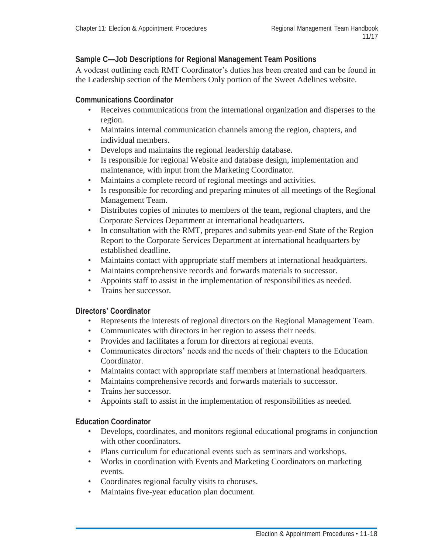## **Sample C—Job Descriptions for Regional Management Team Positions**

A vodcast outlining each RMT Coordinator's duties has been created and can be found in the Leadership section of the Members Only portion of the Sweet Adelines website.

### **Communications Coordinator**

- Receives communications from the international organization and disperses to the region.
- Maintains internal communication channels among the region, chapters, and individual members.
- Develops and maintains the regional leadership database.
- Is responsible for regional Website and database design, implementation and maintenance, with input from the Marketing Coordinator.
- Maintains a complete record of regional meetings and activities.
- Is responsible for recording and preparing minutes of all meetings of the Regional Management Team.
- Distributes copies of minutes to members of the team, regional chapters, and the Corporate Services Department at international headquarters.
- In consultation with the RMT, prepares and submits year-end State of the Region Report to the Corporate Services Department at international headquarters by established deadline.
- Maintains contact with appropriate staff members at international headquarters.
- Maintains comprehensive records and forwards materials to successor.
- Appoints staff to assist in the implementation of responsibilities as needed.
- Trains her successor.

### **Directors' Coordinator**

- Represents the interests of regional directors on the Regional Management Team.
- Communicates with directors in her region to assess their needs.
- Provides and facilitates a forum for directors at regional events.
- Communicates directors' needs and the needs of their chapters to the Education Coordinator.
- Maintains contact with appropriate staff members at international headquarters.
- Maintains comprehensive records and forwards materials to successor.
- Trains her successor.
- Appoints staff to assist in the implementation of responsibilities as needed.

### **Education Coordinator**

- Develops, coordinates, and monitors regional educational programs in conjunction with other coordinators.
- Plans curriculum for educational events such as seminars and workshops.
- Works in coordination with Events and Marketing Coordinators on marketing events.
- Coordinates regional faculty visits to choruses.
- Maintains five-year education plan document.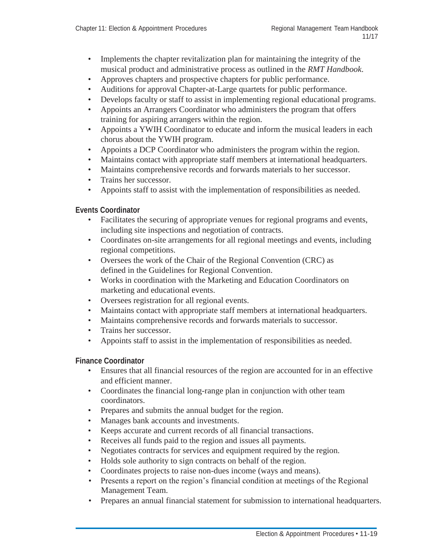- Implements the chapter revitalization plan for maintaining the integrity of the musical product and administrative process as outlined in the *RMT Handbook*.
- Approves chapters and prospective chapters for public performance.
- Auditions for approval Chapter-at-Large quartets for public performance.
- Develops faculty or staff to assist in implementing regional educational programs.
- Appoints an Arrangers Coordinator who administers the program that offers training for aspiring arrangers within the region.
- Appoints a YWIH Coordinator to educate and inform the musical leaders in each chorus about the YWIH program.
- Appoints a DCP Coordinator who administers the program within the region.
- Maintains contact with appropriate staff members at international headquarters.
- Maintains comprehensive records and forwards materials to her successor.
- Trains her successor.
- Appoints staff to assist with the implementation of responsibilities as needed.

### **Events Coordinator**

- Facilitates the securing of appropriate venues for regional programs and events, including site inspections and negotiation of contracts.
- Coordinates on-site arrangements for all regional meetings and events, including regional competitions.
- Oversees the work of the Chair of the Regional Convention (CRC) as defined in the Guidelines for Regional Convention.
- Works in coordination with the Marketing and Education Coordinators on marketing and educational events.
- Oversees registration for all regional events.
- Maintains contact with appropriate staff members at international headquarters.
- Maintains comprehensive records and forwards materials to successor.
- Trains her successor.
- Appoints staff to assist in the implementation of responsibilities as needed.

### **Finance Coordinator**

- Ensures that all financial resources of the region are accounted for in an effective and efficient manner.
- Coordinates the financial long-range plan in conjunction with other team coordinators.
- Prepares and submits the annual budget for the region.
- Manages bank accounts and investments.
- Keeps accurate and current records of all financial transactions.
- Receives all funds paid to the region and issues all payments.
- Negotiates contracts for services and equipment required by the region.
- Holds sole authority to sign contracts on behalf of the region.
- Coordinates projects to raise non-dues income (ways and means).
- Presents a report on the region's financial condition at meetings of the Regional Management Team.
- Prepares an annual financial statement for submission to international headquarters.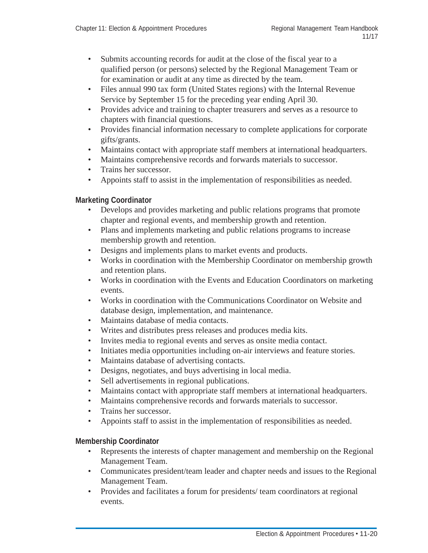- Submits accounting records for audit at the close of the fiscal year to a qualified person (or persons) selected by the Regional Management Team or for examination or audit at any time as directed by the team.
- Files annual 990 tax form (United States regions) with the Internal Revenue Service by September 15 for the preceding year ending April 30.
- Provides advice and training to chapter treasurers and serves as a resource to chapters with financial questions.
- Provides financial information necessary to complete applications for corporate gifts/grants.
- Maintains contact with appropriate staff members at international headquarters.
- Maintains comprehensive records and forwards materials to successor.
- Trains her successor.
- Appoints staff to assist in the implementation of responsibilities as needed.

## **Marketing Coordinator**

- Develops and provides marketing and public relations programs that promote chapter and regional events, and membership growth and retention.
- Plans and implements marketing and public relations programs to increase membership growth and retention.
- Designs and implements plans to market events and products.
- Works in coordination with the Membership Coordinator on membership growth and retention plans.
- Works in coordination with the Events and Education Coordinators on marketing events.
- Works in coordination with the Communications Coordinator on Website and database design, implementation, and maintenance.
- Maintains database of media contacts.
- Writes and distributes press releases and produces media kits.
- Invites media to regional events and serves as onsite media contact.
- Initiates media opportunities including on-air interviews and feature stories.
- Maintains database of advertising contacts.
- Designs, negotiates, and buys advertising in local media.
- Sell advertisements in regional publications.
- Maintains contact with appropriate staff members at international headquarters.
- Maintains comprehensive records and forwards materials to successor.
- Trains her successor.
- Appoints staff to assist in the implementation of responsibilities as needed.

# **Membership Coordinator**

- Represents the interests of chapter management and membership on the Regional Management Team.
- Communicates president/team leader and chapter needs and issues to the Regional Management Team.
- Provides and facilitates a forum for presidents/ team coordinators at regional events.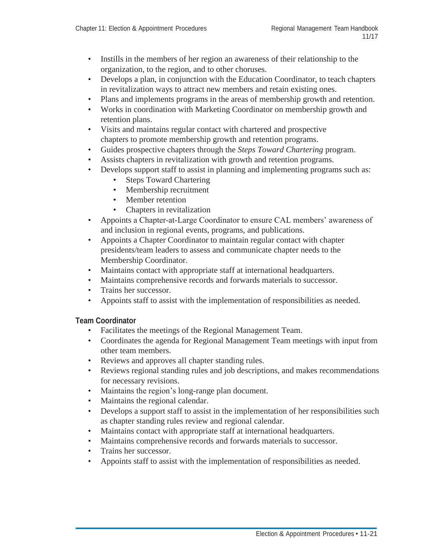- Instills in the members of her region an awareness of their relationship to the organization, to the region, and to other choruses.
- Develops a plan, in conjunction with the Education Coordinator, to teach chapters in revitalization ways to attract new members and retain existing ones.
- Plans and implements programs in the areas of membership growth and retention.
- Works in coordination with Marketing Coordinator on membership growth and retention plans.
- Visits and maintains regular contact with chartered and prospective chapters to promote membership growth and retention programs.
- Guides prospective chapters through the *Steps Toward Chartering* program.
- Assists chapters in revitalization with growth and retention programs.
- Develops support staff to assist in planning and implementing programs such as:
	- Steps Toward Chartering
	- Membership recruitment
	- Member retention
	- Chapters in revitalization
- Appoints a Chapter-at-Large Coordinator to ensure CAL members' awareness of and inclusion in regional events, programs, and publications.
- Appoints a Chapter Coordinator to maintain regular contact with chapter presidents/team leaders to assess and communicate chapter needs to the Membership Coordinator.
- Maintains contact with appropriate staff at international headquarters.
- Maintains comprehensive records and forwards materials to successor.
- Trains her successor.
- Appoints staff to assist with the implementation of responsibilities as needed.

### **Team Coordinator**

- Facilitates the meetings of the Regional Management Team.
- Coordinates the agenda for Regional Management Team meetings with input from other team members.
- Reviews and approves all chapter standing rules.
- Reviews regional standing rules and job descriptions, and makes recommendations for necessary revisions.
- Maintains the region's long-range plan document.
- Maintains the regional calendar.
- Develops a support staff to assist in the implementation of her responsibilities such as chapter standing rules review and regional calendar.
- Maintains contact with appropriate staff at international headquarters.
- Maintains comprehensive records and forwards materials to successor.
- Trains her successor.
- Appoints staff to assist with the implementation of responsibilities as needed.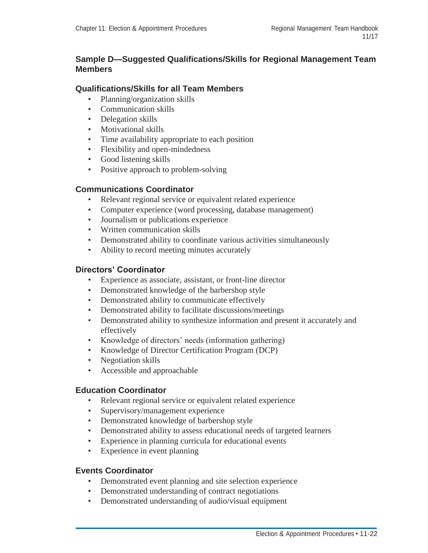# **Sample D—Suggested Qualifications/Skills for Regional Management Team Members**

# **Qualifications/Skills for all Team Members**

- Planning/organization skills
- Communication skills
- Delegation skills
- Motivational skills
- Time availability appropriate to each position
- Flexibility and open-mindedness
- Good listening skills
- Positive approach to problem-solving

## **Communications Coordinator**

- Relevant regional service or equivalent related experience
- Computer experience (word processing, database management)
- Journalism or publications experience
- Written communication skills
- Demonstrated ability to coordinate various activities simultaneously
- Ability to record meeting minutes accurately

## **Directors' Coordinator**

- Experience as associate, assistant, or front-line director
- Demonstrated knowledge of the barbershop style
- Demonstrated ability to communicate effectively
- Demonstrated ability to facilitate discussions/meetings
- Demonstrated ability to synthesize information and present it accurately and effectively
- Knowledge of directors' needs (information gathering)
- Knowledge of Director Certification Program (DCP)
- Negotiation skills
- Accessible and approachable

## **Education Coordinator**

- Relevant regional service or equivalent related experience
- Supervisory/management experience
- Demonstrated knowledge of barbershop style
- Demonstrated ability to assess educational needs of targeted learners
- Experience in planning curricula for educational events
- Experience in event planning

## **Events Coordinator**

- Demonstrated event planning and site selection experience
- Demonstrated understanding of contract negotiations
- Demonstrated understanding of audio/visual equipment